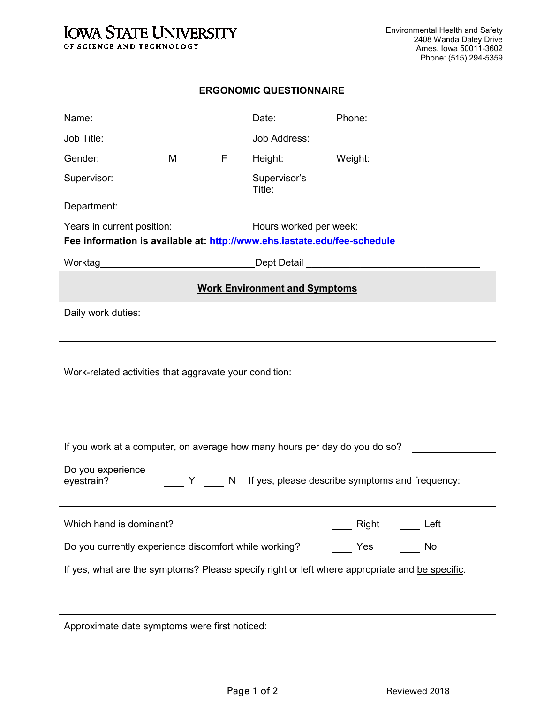## **IOWA STATE UNIVERSITY** OF SCIENCE AND TECHNOLOGY

## **ERGONOMIC QUESTIONNAIRE**

| Name:                                                                                                                                                                        |   | Date:                  | Phone:  |      |  |  |
|------------------------------------------------------------------------------------------------------------------------------------------------------------------------------|---|------------------------|---------|------|--|--|
| Job Title:                                                                                                                                                                   |   | Job Address:           |         |      |  |  |
| Gender:<br>M                                                                                                                                                                 | F | Height:                | Weight: |      |  |  |
| Supervisor:                                                                                                                                                                  |   | Supervisor's<br>Title: |         |      |  |  |
| Department:                                                                                                                                                                  |   |                        |         |      |  |  |
| Years in current position:<br>Hours worked per week:<br>Fee information is available at: http://www.ehs.iastate.edu/fee-schedule                                             |   |                        |         |      |  |  |
|                                                                                                                                                                              |   |                        |         |      |  |  |
| <b>Work Environment and Symptoms</b>                                                                                                                                         |   |                        |         |      |  |  |
| Daily work duties:                                                                                                                                                           |   |                        |         |      |  |  |
|                                                                                                                                                                              |   |                        |         |      |  |  |
| Work-related activities that aggravate your condition:                                                                                                                       |   |                        |         |      |  |  |
|                                                                                                                                                                              |   |                        |         |      |  |  |
| If you work at a computer, on average how many hours per day do you do so?<br>Do you experience<br>If yes, please describe symptoms and frequency:<br>Y .<br>N<br>eyestrain? |   |                        |         |      |  |  |
| Which hand is dominant?                                                                                                                                                      |   |                        | Right   | Left |  |  |
| Do you currently experience discomfort while working?                                                                                                                        |   |                        | Yes     | No   |  |  |
| If yes, what are the symptoms? Please specify right or left where appropriate and be specific.                                                                               |   |                        |         |      |  |  |
|                                                                                                                                                                              |   |                        |         |      |  |  |
| Approximate date symptoms were first noticed:                                                                                                                                |   |                        |         |      |  |  |